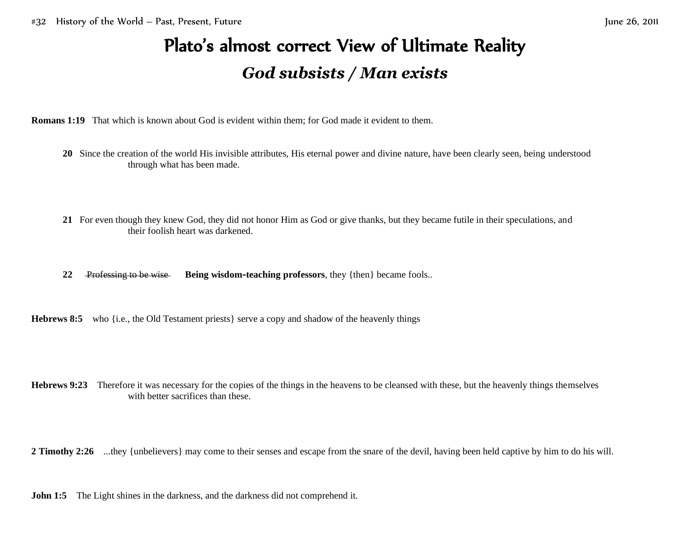## Plato's almost correct View of Ultimate Reality *God subsists / Man exists*

**Romans 1:19** That which is known about God is evident within them; for God made it evident to them.

- **20** Since the creation of the world His invisible attributes, His eternal power and divine nature, have been clearly seen, being understood through what has been made.
- **21** For even though they knew God, they did not honor Him as God or give thanks, but they became futile in their speculations, and their foolish heart was darkened.
- **22** Professing to be wise **Being wisdom-teaching professors**, they {then} became fools..

**Hebrews 8:5** who {i.e., the Old Testament priests} serve a copy and shadow of the heavenly things

**Hebrews 9:23** Therefore it was necessary for the copies of the things in the heavens to be cleansed with these, but the heavenly things themselves with better sacrifices than these.

**2 Timothy 2:26** ...they {unbelievers} may come to their senses and escape from the snare of the devil, having been held captive by him to do his will.

**John 1:5** The Light shines in the darkness, and the darkness did not comprehend it.